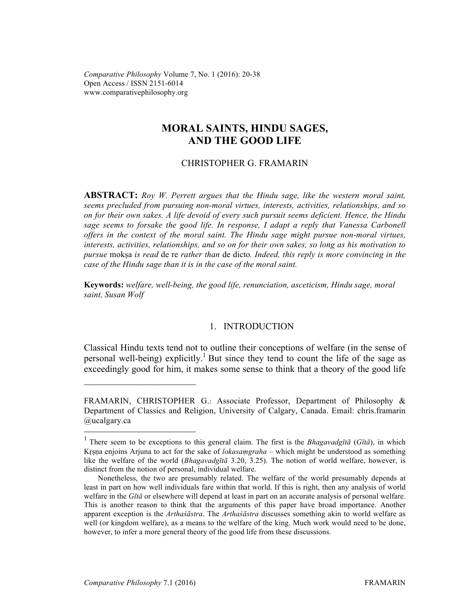*Comparative Philosophy* Volume 7, No. 1 (2016): 20-38 Open Access / ISSN 2151-6014 www.comparativephilosophy.org

# **MORAL SAINTS, HINDU SAGES, AND THE GOOD LIFE**

# CHRISTOPHER G. FRAMARIN

**ABSTRACT:** *Roy W. Perrett argues that the Hindu sage, like the western moral saint, seems precluded from pursuing non-moral virtues, interests, activities, relationships, and so on for their own sakes. A life devoid of every such pursuit seems deficient. Hence, the Hindu sage seems to forsake the good life. In response, I adapt a reply that Vanessa Carbonell offers in the context of the moral saint. The Hindu sage might pursue non-moral virtues, interests, activities, relationships, and so on for their own sakes, so long as his motivation to pursue* mokṣa *is read* de re *rather than* de dicto*. Indeed, this reply is more convincing in the case of the Hindu sage than it is in the case of the moral saint.*

**Keywords:** *welfare, well-being, the good life, renunciation, asceticism, Hindu sage, moral saint, Susan Wolf*

# 1. INTRODUCTION

Classical Hindu texts tend not to outline their conceptions of welfare (in the sense of personal well-being) explicitly.<sup>1</sup> But since they tend to count the life of the sage as exceedingly good for him, it makes some sense to think that a theory of the good life

 $\mathcal{L}_\text{max}$  , where  $\mathcal{L}_\text{max}$  , we have the set of  $\mathcal{L}_\text{max}$ 

FRAMARIN, CHRISTOPHER G.: Associate Professor, Department of Philosophy & Department of Classics and Religion, University of Calgary, Canada. Email: chris.framarin @ucalgary.ca

 <sup>1</sup> There seem to be exceptions to this general claim. The first is the *Bhagavadgīt<sup>ā</sup>* (*Gītā*), in which Kṛṣṇa enjoins Arjuna to act for the sake of *lokasaṃgraha* – which might be understood as something like the welfare of the world (*Bhagavadgītā* 3.20, 3.25). The notion of world welfare, however, is distinct from the notion of personal, individual welfare.

Nonetheless, the two are presumably related. The welfare of the world presumably depends at least in part on how well individuals fare within that world. If this is right, then any analysis of world welfare in the *Gītā* or elsewhere will depend at least in part on an accurate analysis of personal welfare. This is another reason to think that the arguments of this paper have broad importance. Another apparent exception is the *Arthaśāstra*. The *Arthaśāstra* discusses something akin to world welfare as well (or kingdom welfare), as a means to the welfare of the king. Much work would need to be done, however, to infer a more general theory of the good life from these discussions.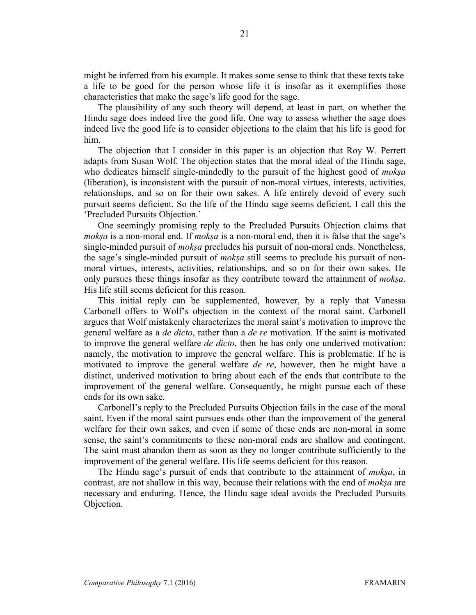might be inferred from his example. It makes some sense to think that these texts take a life to be good for the person whose life it is insofar as it exemplifies those characteristics that make the sage's life good for the sage.

The plausibility of any such theory will depend, at least in part, on whether the Hindu sage does indeed live the good life. One way to assess whether the sage does indeed live the good life is to consider objections to the claim that his life is good for him.

The objection that I consider in this paper is an objection that Roy W. Perrett adapts from Susan Wolf. The objection states that the moral ideal of the Hindu sage, who dedicates himself single-mindedly to the pursuit of the highest good of *mokṣa* (liberation), is inconsistent with the pursuit of non-moral virtues, interests, activities, relationships, and so on for their own sakes. A life entirely devoid of every such pursuit seems deficient. So the life of the Hindu sage seems deficient. I call this the 'Precluded Pursuits Objection.'

One seemingly promising reply to the Precluded Pursuits Objection claims that *mokṣa* is a non-moral end. If *mokṣa* is a non-moral end, then it is false that the sage's single-minded pursuit of *mokṣa* precludes his pursuit of non-moral ends. Nonetheless, the sage's single-minded pursuit of *mokṣa* still seems to preclude his pursuit of nonmoral virtues, interests, activities, relationships, and so on for their own sakes. He only pursues these things insofar as they contribute toward the attainment of *mokṣa*. His life still seems deficient for this reason.

This initial reply can be supplemented, however, by a reply that Vanessa Carbonell offers to Wolf's objection in the context of the moral saint. Carbonell argues that Wolf mistakenly characterizes the moral saint's motivation to improve the general welfare as a *de dicto*, rather than a *de re* motivation. If the saint is motivated to improve the general welfare *de dicto*, then he has only one underived motivation: namely, the motivation to improve the general welfare. This is problematic. If he is motivated to improve the general welfare *de re*, however, then he might have a distinct, underived motivation to bring about each of the ends that contribute to the improvement of the general welfare. Consequently, he might pursue each of these ends for its own sake.

Carbonell's reply to the Precluded Pursuits Objection fails in the case of the moral saint. Even if the moral saint pursues ends other than the improvement of the general welfare for their own sakes, and even if some of these ends are non-moral in some sense, the saint's commitments to these non-moral ends are shallow and contingent. The saint must abandon them as soon as they no longer contribute sufficiently to the improvement of the general welfare. His life seems deficient for this reason.

The Hindu sage's pursuit of ends that contribute to the attainment of *mokṣa*, in contrast, are not shallow in this way, because their relations with the end of *mokṣa* are necessary and enduring. Hence, the Hindu sage ideal avoids the Precluded Pursuits Objection.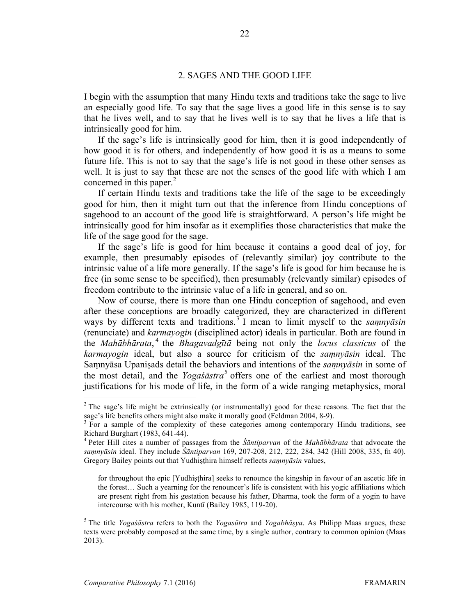#### 2. SAGES AND THE GOOD LIFE

I begin with the assumption that many Hindu texts and traditions take the sage to live an especially good life. To say that the sage lives a good life in this sense is to say that he lives well, and to say that he lives well is to say that he lives a life that is intrinsically good for him.

If the sage's life is intrinsically good for him, then it is good independently of how good it is for others, and independently of how good it is as a means to some future life. This is not to say that the sage's life is not good in these other senses as well. It is just to say that these are not the senses of the good life with which I am concerned in this paper.<sup>2</sup>

If certain Hindu texts and traditions take the life of the sage to be exceedingly good for him, then it might turn out that the inference from Hindu conceptions of sagehood to an account of the good life is straightforward. A person's life might be intrinsically good for him insofar as it exemplifies those characteristics that make the life of the sage good for the sage.

If the sage's life is good for him because it contains a good deal of joy, for example, then presumably episodes of (relevantly similar) joy contribute to the intrinsic value of a life more generally. If the sage's life is good for him because he is free (in some sense to be specified), then presumably (relevantly similar) episodes of freedom contribute to the intrinsic value of a life in general, and so on.

Now of course, there is more than one Hindu conception of sagehood, and even after these conceptions are broadly categorized, they are characterized in different ways by different texts and traditions.<sup>3</sup> I mean to limit myself to the *saṃnyāsin* (renunciate) and *karmayogin* (disciplined actor) ideals in particular. Both are found in the *Mahābhārata*, <sup>4</sup> the *Bhagavadgītā* being not only the *locus classicus* of the *karmayogin* ideal, but also a source for criticism of the *saṃnyāsin* ideal. The Saṃnyāsa Upaniṣads detail the behaviors and intentions of the *saṃnyāsin* in some of the most detail, and the *Yogas<sup>astra*5</sup> offers one of the earliest and most thorough justifications for his mode of life, in the form of a wide ranging metaphysics, moral

 $2$ <sup>2</sup> The sage's life might be extrinsically (or instrumentally) good for these reasons. The fact that the sage's life benefits others might also make it morally good (Feldman 2004, 8-9).<br><sup>3</sup> For a sample of the complexity of these categories among contemporary Hindu traditions, see

Richard Burghart (1983, 641-44). 4 Peter Hill cites a number of passages from the *Śāntiparvan* of the *Mahābhārata* that advocate the

*saṃnyāsin* ideal. They include *Śāntiparvan* 169, 207-208, 212, 222, 284, 342 (Hill 2008, 335, fn 40). Gregory Bailey points out that Yudhiṣṭhira himself reflects *saṃnyāsin* values,

for throughout the epic [Yudhiṣṭhira] seeks to renounce the kingship in favour of an ascetic life in the forest… Such a yearning for the renouncer's life is consistent with his yogic affiliations which are present right from his gestation because his father, Dharma, took the form of a yogin to have intercourse with his mother, Kuntī (Bailey 1985, 119-20).

<sup>5</sup> The title *Yogaśāstra* refers to both the *Yogasūtra* and *Yogabhāṣya*. As Philipp Maas argues, these texts were probably composed at the same time, by a single author, contrary to common opinion (Maas 2013).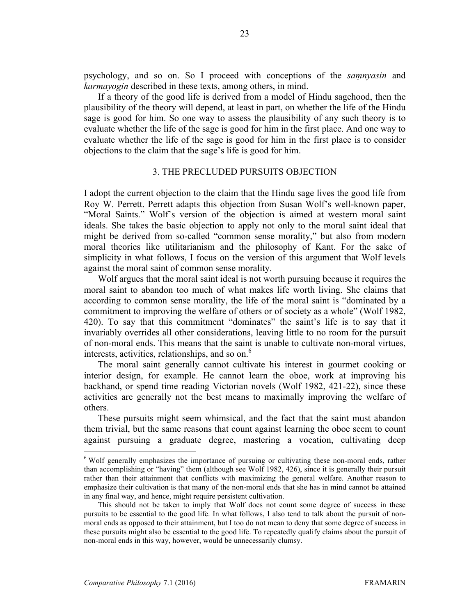psychology, and so on. So I proceed with conceptions of the *saṃnyasin* and *karmayogin* described in these texts, among others, in mind.

If a theory of the good life is derived from a model of Hindu sagehood, then the plausibility of the theory will depend, at least in part, on whether the life of the Hindu sage is good for him. So one way to assess the plausibility of any such theory is to evaluate whether the life of the sage is good for him in the first place. And one way to evaluate whether the life of the sage is good for him in the first place is to consider objections to the claim that the sage's life is good for him.

# 3. THE PRECLUDED PURSUITS OBJECTION

I adopt the current objection to the claim that the Hindu sage lives the good life from Roy W. Perrett. Perrett adapts this objection from Susan Wolf's well-known paper, "Moral Saints." Wolf's version of the objection is aimed at western moral saint ideals. She takes the basic objection to apply not only to the moral saint ideal that might be derived from so-called "common sense morality," but also from modern moral theories like utilitarianism and the philosophy of Kant. For the sake of simplicity in what follows, I focus on the version of this argument that Wolf levels against the moral saint of common sense morality.

Wolf argues that the moral saint ideal is not worth pursuing because it requires the moral saint to abandon too much of what makes life worth living. She claims that according to common sense morality, the life of the moral saint is "dominated by a commitment to improving the welfare of others or of society as a whole" (Wolf 1982, 420). To say that this commitment "dominates" the saint's life is to say that it invariably overrides all other considerations, leaving little to no room for the pursuit of non-moral ends. This means that the saint is unable to cultivate non-moral virtues, interests, activities, relationships, and so on. $<sup>6</sup>$ </sup>

The moral saint generally cannot cultivate his interest in gourmet cooking or interior design, for example. He cannot learn the oboe, work at improving his backhand, or spend time reading Victorian novels (Wolf 1982, 421-22), since these activities are generally not the best means to maximally improving the welfare of others.

These pursuits might seem whimsical, and the fact that the saint must abandon them trivial, but the same reasons that count against learning the oboe seem to count against pursuing a graduate degree, mastering a vocation, cultivating deep

<sup>&</sup>lt;sup>6</sup> Wolf generally emphasizes the importance of pursuing or cultivating these non-moral ends, rather than accomplishing or "having" them (although see Wolf 1982, 426), since it is generally their pursuit rather than their attainment that conflicts with maximizing the general welfare. Another reason to emphasize their cultivation is that many of the non-moral ends that she has in mind cannot be attained in any final way, and hence, might require persistent cultivation.

This should not be taken to imply that Wolf does not count some degree of success in these pursuits to be essential to the good life. In what follows, I also tend to talk about the pursuit of nonmoral ends as opposed to their attainment, but I too do not mean to deny that some degree of success in these pursuits might also be essential to the good life. To repeatedly qualify claims about the pursuit of non-moral ends in this way, however, would be unnecessarily clumsy.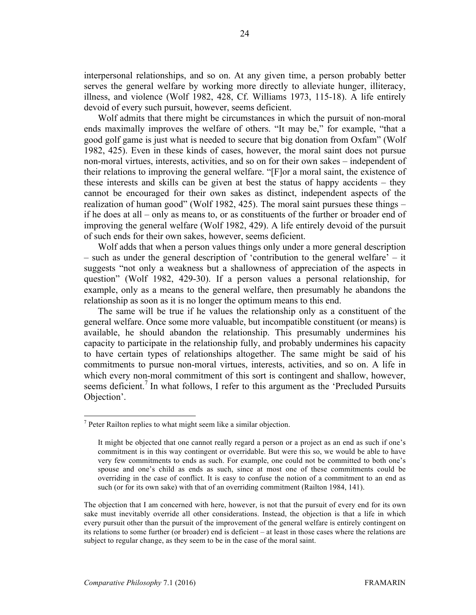interpersonal relationships, and so on. At any given time, a person probably better serves the general welfare by working more directly to alleviate hunger, illiteracy, illness, and violence (Wolf 1982, 428, Cf. Williams 1973, 115-18). A life entirely devoid of every such pursuit, however, seems deficient.

Wolf admits that there might be circumstances in which the pursuit of non-moral ends maximally improves the welfare of others. "It may be," for example, "that a good golf game is just what is needed to secure that big donation from Oxfam" (Wolf 1982, 425). Even in these kinds of cases, however, the moral saint does not pursue non-moral virtues, interests, activities, and so on for their own sakes – independent of their relations to improving the general welfare. "[F]or a moral saint, the existence of these interests and skills can be given at best the status of happy accidents – they cannot be encouraged for their own sakes as distinct, independent aspects of the realization of human good" (Wolf 1982, 425). The moral saint pursues these things – if he does at all – only as means to, or as constituents of the further or broader end of improving the general welfare (Wolf 1982, 429). A life entirely devoid of the pursuit of such ends for their own sakes, however, seems deficient.

Wolf adds that when a person values things only under a more general description – such as under the general description of 'contribution to the general welfare' – it suggests "not only a weakness but a shallowness of appreciation of the aspects in question" (Wolf 1982, 429-30). If a person values a personal relationship, for example, only as a means to the general welfare, then presumably he abandons the relationship as soon as it is no longer the optimum means to this end.

The same will be true if he values the relationship only as a constituent of the general welfare. Once some more valuable, but incompatible constituent (or means) is available, he should abandon the relationship. This presumably undermines his capacity to participate in the relationship fully, and probably undermines his capacity to have certain types of relationships altogether. The same might be said of his commitments to pursue non-moral virtues, interests, activities, and so on. A life in which every non-moral commitment of this sort is contingent and shallow, however, seems deficient.<sup>7</sup> In what follows, I refer to this argument as the 'Precluded Pursuits' Objection'.

 $<sup>7</sup>$  Peter Railton replies to what might seem like a similar objection.</sup>

It might be objected that one cannot really regard a person or a project as an end as such if one's commitment is in this way contingent or overridable. But were this so, we would be able to have very few commitments to ends as such. For example, one could not be committed to both one's spouse and one's child as ends as such, since at most one of these commitments could be overriding in the case of conflict. It is easy to confuse the notion of a commitment to an end as such (or for its own sake) with that of an overriding commitment (Railton 1984, 141).

The objection that I am concerned with here, however, is not that the pursuit of every end for its own sake must inevitably override all other considerations. Instead, the objection is that a life in which every pursuit other than the pursuit of the improvement of the general welfare is entirely contingent on its relations to some further (or broader) end is deficient – at least in those cases where the relations are subject to regular change, as they seem to be in the case of the moral saint.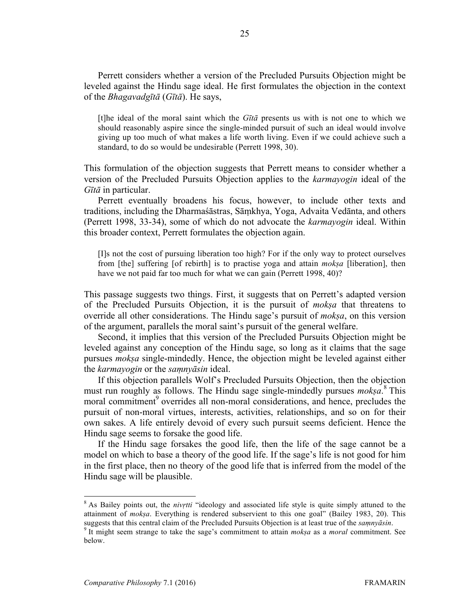Perrett considers whether a version of the Precluded Pursuits Objection might be leveled against the Hindu sage ideal. He first formulates the objection in the context of the *Bhagavadgītā* (*Gītā*). He says,

[t]he ideal of the moral saint which the *Gītā* presents us with is not one to which we should reasonably aspire since the single-minded pursuit of such an ideal would involve giving up too much of what makes a life worth living. Even if we could achieve such a standard, to do so would be undesirable (Perrett 1998, 30).

This formulation of the objection suggests that Perrett means to consider whether a version of the Precluded Pursuits Objection applies to the *karmayogin* ideal of the *Gītā* in particular.

Perrett eventually broadens his focus, however, to include other texts and traditions, including the Dharmaśāstras, Sāṃkhya, Yoga, Advaita Vedānta, and others (Perrett 1998, 33-34), some of which do not advocate the *karmayogin* ideal. Within this broader context, Perrett formulates the objection again.

[I]s not the cost of pursuing liberation too high? For if the only way to protect ourselves from [the] suffering [of rebirth] is to practise yoga and attain *mokṣa* [liberation], then have we not paid far too much for what we can gain (Perrett 1998, 40)?

This passage suggests two things. First, it suggests that on Perrett's adapted version of the Precluded Pursuits Objection, it is the pursuit of *mokṣa* that threatens to override all other considerations. The Hindu sage's pursuit of *mokṣa*, on this version of the argument, parallels the moral saint's pursuit of the general welfare.

Second, it implies that this version of the Precluded Pursuits Objection might be leveled against any conception of the Hindu sage, so long as it claims that the sage pursues *mokṣa* single-mindedly. Hence, the objection might be leveled against either the *karmayogin* or the *saṃnyāsin* ideal.

If this objection parallels Wolf's Precluded Pursuits Objection, then the objection must run roughly as follows. The Hindu sage single-mindedly pursues *mokṣa*. <sup>8</sup> This moral commitment<sup>9</sup> overrides all non-moral considerations, and hence, precludes the pursuit of non-moral virtues, interests, activities, relationships, and so on for their own sakes. A life entirely devoid of every such pursuit seems deficient. Hence the Hindu sage seems to forsake the good life.

If the Hindu sage forsakes the good life, then the life of the sage cannot be a model on which to base a theory of the good life. If the sage's life is not good for him in the first place, then no theory of the good life that is inferred from the model of the Hindu sage will be plausible.

 <sup>8</sup> As Bailey points out, the *nivṛtti* "ideology and associated life style is quite simply attuned to the attainment of *moksa*. Everything is rendered subservient to this one goal" (Bailey 1983, 20). This suggests that this central claim of the Precluded Pursuits Objection is at least true of the *samnvāsin*.

<sup>&</sup>lt;sup>9</sup> It might seem strange to take the sage's commitment to attain *moksa* as a *moral* commitment. See below.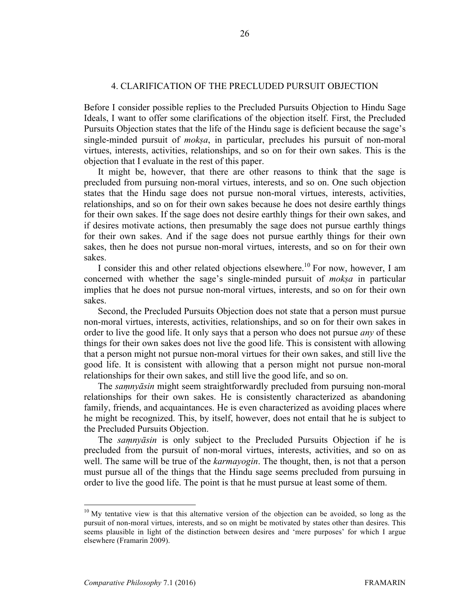# 4. CLARIFICATION OF THE PRECLUDED PURSUIT OBJECTION

Before I consider possible replies to the Precluded Pursuits Objection to Hindu Sage Ideals, I want to offer some clarifications of the objection itself. First, the Precluded Pursuits Objection states that the life of the Hindu sage is deficient because the sage's single-minded pursuit of *mokṣa*, in particular, precludes his pursuit of non-moral virtues, interests, activities, relationships, and so on for their own sakes. This is the objection that I evaluate in the rest of this paper.

It might be, however, that there are other reasons to think that the sage is precluded from pursuing non-moral virtues, interests, and so on. One such objection states that the Hindu sage does not pursue non-moral virtues, interests, activities, relationships, and so on for their own sakes because he does not desire earthly things for their own sakes. If the sage does not desire earthly things for their own sakes, and if desires motivate actions, then presumably the sage does not pursue earthly things for their own sakes. And if the sage does not pursue earthly things for their own sakes, then he does not pursue non-moral virtues, interests, and so on for their own sakes.

I consider this and other related objections elsewhere.<sup>10</sup> For now, however, I am concerned with whether the sage's single-minded pursuit of *mokṣa* in particular implies that he does not pursue non-moral virtues, interests, and so on for their own sakes.

Second, the Precluded Pursuits Objection does not state that a person must pursue non-moral virtues, interests, activities, relationships, and so on for their own sakes in order to live the good life. It only says that a person who does not pursue *any* of these things for their own sakes does not live the good life. This is consistent with allowing that a person might not pursue non-moral virtues for their own sakes, and still live the good life. It is consistent with allowing that a person might not pursue non-moral relationships for their own sakes, and still live the good life, and so on.

The *saṃnyāsin* might seem straightforwardly precluded from pursuing non-moral relationships for their own sakes. He is consistently characterized as abandoning family, friends, and acquaintances. He is even characterized as avoiding places where he might be recognized. This, by itself, however, does not entail that he is subject to the Precluded Pursuits Objection.

The *saṃnyāsin* is only subject to the Precluded Pursuits Objection if he is precluded from the pursuit of non-moral virtues, interests, activities, and so on as well. The same will be true of the *karmayogin*. The thought, then, is not that a person must pursue all of the things that the Hindu sage seems precluded from pursuing in order to live the good life. The point is that he must pursue at least some of them.

 $10$  My tentative view is that this alternative version of the objection can be avoided, so long as the pursuit of non-moral virtues, interests, and so on might be motivated by states other than desires. This seems plausible in light of the distinction between desires and 'mere purposes' for which I argue elsewhere (Framarin 2009).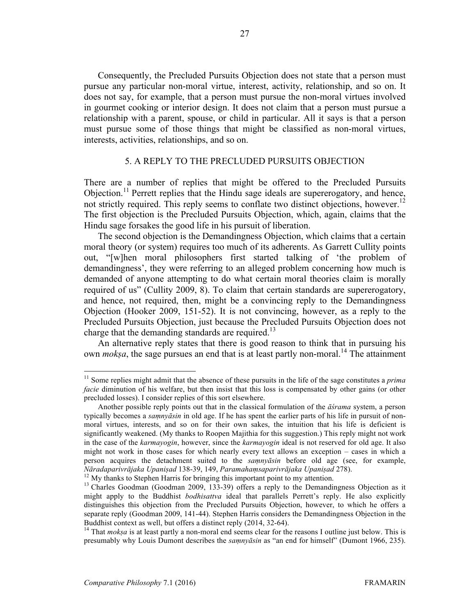Consequently, the Precluded Pursuits Objection does not state that a person must pursue any particular non-moral virtue, interest, activity, relationship, and so on. It does not say, for example, that a person must pursue the non-moral virtues involved in gourmet cooking or interior design. It does not claim that a person must pursue a relationship with a parent, spouse, or child in particular. All it says is that a person must pursue some of those things that might be classified as non-moral virtues, interests, activities, relationships, and so on.

# 5. A REPLY TO THE PRECLUDED PURSUITS OBJECTION

There are a number of replies that might be offered to the Precluded Pursuits Objection.<sup>11</sup> Perrett replies that the Hindu sage ideals are supererogatory, and hence, not strictly required. This reply seems to conflate two distinct objections, however.<sup>12</sup> The first objection is the Precluded Pursuits Objection, which, again, claims that the Hindu sage forsakes the good life in his pursuit of liberation.

The second objection is the Demandingness Objection, which claims that a certain moral theory (or system) requires too much of its adherents. As Garrett Cullity points out, "[w]hen moral philosophers first started talking of 'the problem of demandingness', they were referring to an alleged problem concerning how much is demanded of anyone attempting to do what certain moral theories claim is morally required of us" (Cullity 2009, 8). To claim that certain standards are supererogatory, and hence, not required, then, might be a convincing reply to the Demandingness Objection (Hooker 2009, 151-52). It is not convincing, however, as a reply to the Precluded Pursuits Objection, just because the Precluded Pursuits Objection does not charge that the demanding standards are required.<sup>13</sup>

An alternative reply states that there is good reason to think that in pursuing his own *moksa*, the sage pursues an end that is at least partly non-moral.<sup>14</sup> The attainment

<sup>&</sup>lt;sup>11</sup> Some replies might admit that the absence of these pursuits in the life of the sage constitutes a *prima facie* diminution of his welfare, but then insist that this loss is compensated by other gains (or other precluded losses). I consider replies of this sort elsewhere.

Another possible reply points out that in the classical formulation of the *āśrama* system, a person typically becomes a *saṃnyāsin* in old age. If he has spent the earlier parts of his life in pursuit of nonmoral virtues, interests, and so on for their own sakes, the intuition that his life is deficient is significantly weakened. (My thanks to Roopen Majithia for this suggestion.) This reply might not work in the case of the *karmayogin*, however, since the *karmayogin* ideal is not reserved for old age. It also might not work in those cases for which nearly every text allows an exception – cases in which a person acquires the detachment suited to the *saṃnyāsin* before old age (see, for example, Nāradaparivrājaka Upanisad 138-39, 149, Paramahamsaparivrājaka Upanisad 278).<br><sup>12</sup> My thanks to Stephen Harris for bringing this important point to my attention.<br><sup>13</sup> Charles Goodman (Goodman 2009, 133-39) offers a reply t

might apply to the Buddhist *bodhisattva* ideal that parallels Perrett's reply. He also explicitly distinguishes this objection from the Precluded Pursuits Objection, however, to which he offers a separate reply (Goodman 2009, 141-44). Stephen Harris considers the Demandingness Objection in the Buddhist context as well, but offers a distinct reply (2014, 32-64).<br><sup>14</sup> That *moksa* is at least partly a non-moral end seems clear for the reasons I outline just below. This is

presumably why Louis Dumont describes the *saṃnyāsin* as "an end for himself" (Dumont 1966, 235).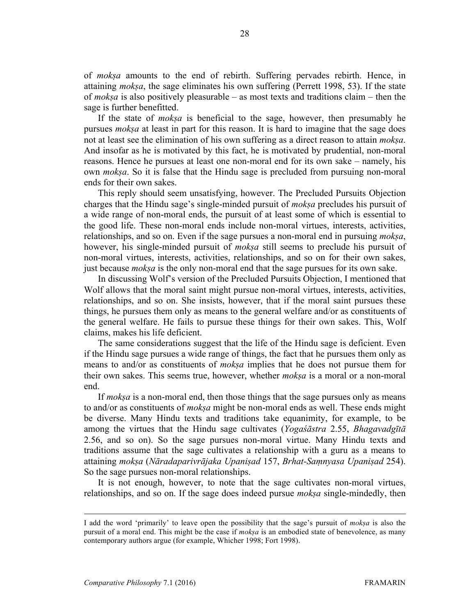of *mokṣa* amounts to the end of rebirth. Suffering pervades rebirth. Hence, in attaining *mokṣa*, the sage eliminates his own suffering (Perrett 1998, 53). If the state of *mokṣa* is also positively pleasurable – as most texts and traditions claim – then the sage is further benefitted.

If the state of *mokṣa* is beneficial to the sage, however, then presumably he pursues *mokṣa* at least in part for this reason. It is hard to imagine that the sage does not at least see the elimination of his own suffering as a direct reason to attain *mokṣa*. And insofar as he is motivated by this fact, he is motivated by prudential, non-moral reasons. Hence he pursues at least one non-moral end for its own sake – namely, his own *mokṣa*. So it is false that the Hindu sage is precluded from pursuing non-moral ends for their own sakes.

This reply should seem unsatisfying, however. The Precluded Pursuits Objection charges that the Hindu sage's single-minded pursuit of *mokṣa* precludes his pursuit of a wide range of non-moral ends, the pursuit of at least some of which is essential to the good life. These non-moral ends include non-moral virtues, interests, activities, relationships, and so on. Even if the sage pursues a non-moral end in pursuing *mokṣa*, however, his single-minded pursuit of *mokṣa* still seems to preclude his pursuit of non-moral virtues, interests, activities, relationships, and so on for their own sakes, just because *mokṣa* is the only non-moral end that the sage pursues for its own sake.

In discussing Wolf's version of the Precluded Pursuits Objection, I mentioned that Wolf allows that the moral saint might pursue non-moral virtues, interests, activities, relationships, and so on. She insists, however, that if the moral saint pursues these things, he pursues them only as means to the general welfare and/or as constituents of the general welfare. He fails to pursue these things for their own sakes. This, Wolf claims, makes his life deficient.

The same considerations suggest that the life of the Hindu sage is deficient. Even if the Hindu sage pursues a wide range of things, the fact that he pursues them only as means to and/or as constituents of *mokṣa* implies that he does not pursue them for their own sakes. This seems true, however, whether *mokṣa* is a moral or a non-moral end.

If *mokṣa* is a non-moral end, then those things that the sage pursues only as means to and/or as constituents of *mokṣa* might be non-moral ends as well. These ends might be diverse. Many Hindu texts and traditions take equanimity, for example, to be among the virtues that the Hindu sage cultivates (*Yogaśāstra* 2.55, *Bhagavadgītā* 2.56, and so on). So the sage pursues non-moral virtue. Many Hindu texts and traditions assume that the sage cultivates a relationship with a guru as a means to attaining *mokṣa* (*Nāradaparivrājaka Upaniṣad* 157, *Brhat-Saṃnyasa Upaniṣad* 254). So the sage pursues non-moral relationships.

It is not enough, however, to note that the sage cultivates non-moral virtues, relationships, and so on. If the sage does indeed pursue *mokṣa* single-mindedly, then

I add the word 'primarily' to leave open the possibility that the sage's pursuit of *mokṣ<sup>a</sup>* is also the pursuit of a moral end. This might be the case if *mokṣa* is an embodied state of benevolence, as many contemporary authors argue (for example, Whicher 1998; Fort 1998).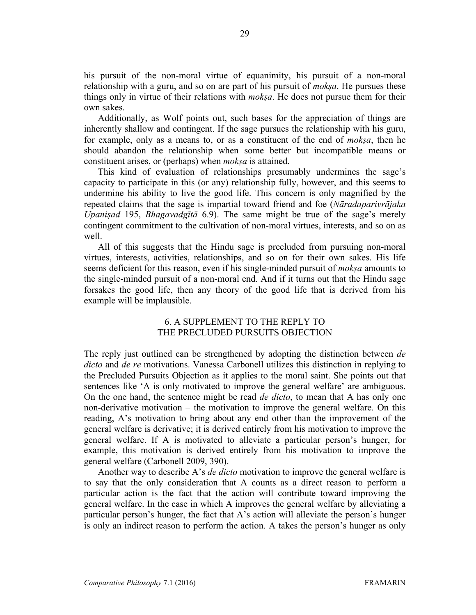his pursuit of the non-moral virtue of equanimity, his pursuit of a non-moral relationship with a guru, and so on are part of his pursuit of *mokṣa*. He pursues these things only in virtue of their relations with *mokṣa*. He does not pursue them for their own sakes.

Additionally, as Wolf points out, such bases for the appreciation of things are inherently shallow and contingent. If the sage pursues the relationship with his guru, for example, only as a means to, or as a constituent of the end of *mokṣa*, then he should abandon the relationship when some better but incompatible means or constituent arises, or (perhaps) when *mokṣa* is attained.

This kind of evaluation of relationships presumably undermines the sage's capacity to participate in this (or any) relationship fully, however, and this seems to undermine his ability to live the good life. This concern is only magnified by the repeated claims that the sage is impartial toward friend and foe (*Nāradaparivrājaka Upaniṣad* 195, *Bhagavadgītā* 6.9). The same might be true of the sage's merely contingent commitment to the cultivation of non-moral virtues, interests, and so on as well.

All of this suggests that the Hindu sage is precluded from pursuing non-moral virtues, interests, activities, relationships, and so on for their own sakes. His life seems deficient for this reason, even if his single-minded pursuit of *mokṣa* amounts to the single-minded pursuit of a non-moral end. And if it turns out that the Hindu sage forsakes the good life, then any theory of the good life that is derived from his example will be implausible.

# 6. A SUPPLEMENT TO THE REPLY TO THE PRECLUDED PURSUITS OBJECTION

The reply just outlined can be strengthened by adopting the distinction between *de dicto* and *de re* motivations. Vanessa Carbonell utilizes this distinction in replying to the Precluded Pursuits Objection as it applies to the moral saint. She points out that sentences like 'A is only motivated to improve the general welfare' are ambiguous. On the one hand, the sentence might be read *de dicto*, to mean that A has only one non-derivative motivation – the motivation to improve the general welfare. On this reading, A's motivation to bring about any end other than the improvement of the general welfare is derivative; it is derived entirely from his motivation to improve the general welfare. If A is motivated to alleviate a particular person's hunger, for example, this motivation is derived entirely from his motivation to improve the general welfare (Carbonell 2009, 390).

Another way to describe A's *de dicto* motivation to improve the general welfare is to say that the only consideration that A counts as a direct reason to perform a particular action is the fact that the action will contribute toward improving the general welfare. In the case in which A improves the general welfare by alleviating a particular person's hunger, the fact that A's action will alleviate the person's hunger is only an indirect reason to perform the action. A takes the person's hunger as only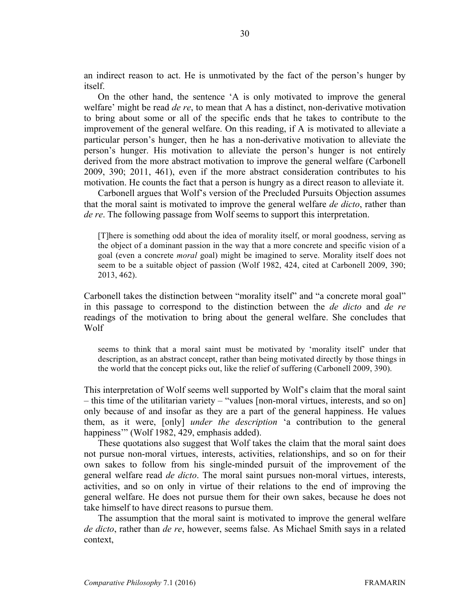an indirect reason to act. He is unmotivated by the fact of the person's hunger by itself.

On the other hand, the sentence 'A is only motivated to improve the general welfare' might be read *de re*, to mean that A has a distinct, non-derivative motivation to bring about some or all of the specific ends that he takes to contribute to the improvement of the general welfare. On this reading, if A is motivated to alleviate a particular person's hunger, then he has a non-derivative motivation to alleviate the person's hunger. His motivation to alleviate the person's hunger is not entirely derived from the more abstract motivation to improve the general welfare (Carbonell 2009, 390; 2011, 461), even if the more abstract consideration contributes to his motivation. He counts the fact that a person is hungry as a direct reason to alleviate it.

Carbonell argues that Wolf's version of the Precluded Pursuits Objection assumes that the moral saint is motivated to improve the general welfare *de dicto*, rather than *de re*. The following passage from Wolf seems to support this interpretation.

[T]here is something odd about the idea of morality itself, or moral goodness, serving as the object of a dominant passion in the way that a more concrete and specific vision of a goal (even a concrete *moral* goal) might be imagined to serve. Morality itself does not seem to be a suitable object of passion (Wolf 1982, 424, cited at Carbonell 2009, 390; 2013, 462).

Carbonell takes the distinction between "morality itself" and "a concrete moral goal" in this passage to correspond to the distinction between the *de dicto* and *de re* readings of the motivation to bring about the general welfare. She concludes that Wolf

seems to think that a moral saint must be motivated by 'morality itself' under that description, as an abstract concept, rather than being motivated directly by those things in the world that the concept picks out, like the relief of suffering (Carbonell 2009, 390).

This interpretation of Wolf seems well supported by Wolf's claim that the moral saint – this time of the utilitarian variety – "values [non-moral virtues, interests, and so on] only because of and insofar as they are a part of the general happiness. He values them, as it were, [only] *under the description* 'a contribution to the general happiness'" (Wolf 1982, 429, emphasis added).

These quotations also suggest that Wolf takes the claim that the moral saint does not pursue non-moral virtues, interests, activities, relationships, and so on for their own sakes to follow from his single-minded pursuit of the improvement of the general welfare read *de dicto*. The moral saint pursues non-moral virtues, interests, activities, and so on only in virtue of their relations to the end of improving the general welfare. He does not pursue them for their own sakes, because he does not take himself to have direct reasons to pursue them.

The assumption that the moral saint is motivated to improve the general welfare *de dicto*, rather than *de re*, however, seems false. As Michael Smith says in a related context,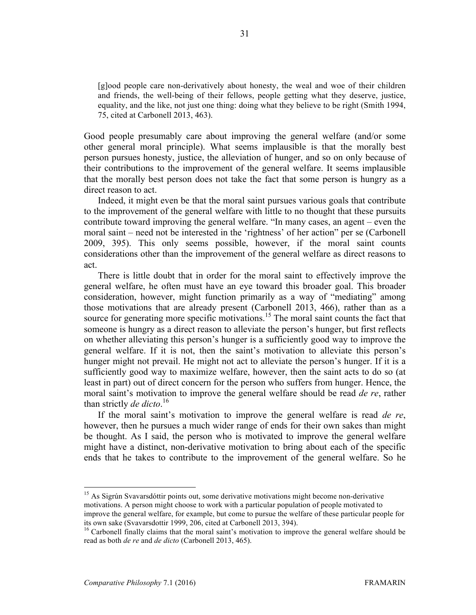[g]ood people care non-derivatively about honesty, the weal and woe of their children and friends, the well-being of their fellows, people getting what they deserve, justice, equality, and the like, not just one thing: doing what they believe to be right (Smith 1994, 75, cited at Carbonell 2013, 463).

Good people presumably care about improving the general welfare (and/or some other general moral principle). What seems implausible is that the morally best person pursues honesty, justice, the alleviation of hunger, and so on only because of their contributions to the improvement of the general welfare. It seems implausible that the morally best person does not take the fact that some person is hungry as a direct reason to act.

Indeed, it might even be that the moral saint pursues various goals that contribute to the improvement of the general welfare with little to no thought that these pursuits contribute toward improving the general welfare. "In many cases, an agent – even the moral saint – need not be interested in the 'rightness' of her action" per se (Carbonell 2009, 395). This only seems possible, however, if the moral saint counts considerations other than the improvement of the general welfare as direct reasons to act.

There is little doubt that in order for the moral saint to effectively improve the general welfare, he often must have an eye toward this broader goal. This broader consideration, however, might function primarily as a way of "mediating" among those motivations that are already present (Carbonell 2013, 466), rather than as a source for generating more specific motivations.<sup>15</sup> The moral saint counts the fact that someone is hungry as a direct reason to alleviate the person's hunger, but first reflects on whether alleviating this person's hunger is a sufficiently good way to improve the general welfare. If it is not, then the saint's motivation to alleviate this person's hunger might not prevail. He might not act to alleviate the person's hunger. If it is a sufficiently good way to maximize welfare, however, then the saint acts to do so (at least in part) out of direct concern for the person who suffers from hunger. Hence, the moral saint's motivation to improve the general welfare should be read *de re*, rather than strictly *de dicto*. 16

If the moral saint's motivation to improve the general welfare is read *de re*, however, then he pursues a much wider range of ends for their own sakes than might be thought. As I said, the person who is motivated to improve the general welfare might have a distinct, non-derivative motivation to bring about each of the specific ends that he takes to contribute to the improvement of the general welfare. So he

<sup>15</sup> As Sigrún Svavarsdóttir points out, some derivative motivations might become non-derivative motivations. A person might choose to work with a particular population of people motivated to improve the general welfare, for example, but come to pursue the welfare of these particular people for its own sake (Svavarsdottir 1999, 206, cited at Carbonell 2013, 394).<br><sup>16</sup> Carbonell finally claims that the moral saint's motivation to improve the general welfare should be

read as both *de re* and *de dicto* (Carbonell 2013, 465).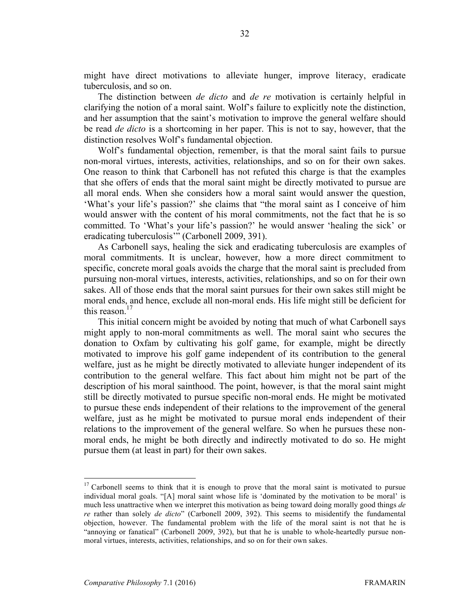might have direct motivations to alleviate hunger, improve literacy, eradicate tuberculosis, and so on.

The distinction between *de dicto* and *de re* motivation is certainly helpful in clarifying the notion of a moral saint. Wolf's failure to explicitly note the distinction, and her assumption that the saint's motivation to improve the general welfare should be read *de dicto* is a shortcoming in her paper. This is not to say, however, that the distinction resolves Wolf's fundamental objection.

Wolf's fundamental objection, remember, is that the moral saint fails to pursue non-moral virtues, interests, activities, relationships, and so on for their own sakes. One reason to think that Carbonell has not refuted this charge is that the examples that she offers of ends that the moral saint might be directly motivated to pursue are all moral ends. When she considers how a moral saint would answer the question, 'What's your life's passion?' she claims that "the moral saint as I conceive of him would answer with the content of his moral commitments, not the fact that he is so committed. To 'What's your life's passion?' he would answer 'healing the sick' or eradicating tuberculosis'" (Carbonell 2009, 391).

As Carbonell says, healing the sick and eradicating tuberculosis are examples of moral commitments. It is unclear, however, how a more direct commitment to specific, concrete moral goals avoids the charge that the moral saint is precluded from pursuing non-moral virtues, interests, activities, relationships, and so on for their own sakes. All of those ends that the moral saint pursues for their own sakes still might be moral ends, and hence, exclude all non-moral ends. His life might still be deficient for this reason. $17$ 

This initial concern might be avoided by noting that much of what Carbonell says might apply to non-moral commitments as well. The moral saint who secures the donation to Oxfam by cultivating his golf game, for example, might be directly motivated to improve his golf game independent of its contribution to the general welfare, just as he might be directly motivated to alleviate hunger independent of its contribution to the general welfare. This fact about him might not be part of the description of his moral sainthood. The point, however, is that the moral saint might still be directly motivated to pursue specific non-moral ends. He might be motivated to pursue these ends independent of their relations to the improvement of the general welfare, just as he might be motivated to pursue moral ends independent of their relations to the improvement of the general welfare. So when he pursues these nonmoral ends, he might be both directly and indirectly motivated to do so. He might pursue them (at least in part) for their own sakes.

 $17$  Carbonell seems to think that it is enough to prove that the moral saint is motivated to pursue individual moral goals. "[A] moral saint whose life is 'dominated by the motivation to be moral' is much less unattractive when we interpret this motivation as being toward doing morally good things *de re* rather than solely *de dicto*" (Carbonell 2009, 392). This seems to misidentify the fundamental objection, however. The fundamental problem with the life of the moral saint is not that he is "annoying or fanatical" (Carbonell 2009, 392), but that he is unable to whole-heartedly pursue nonmoral virtues, interests, activities, relationships, and so on for their own sakes.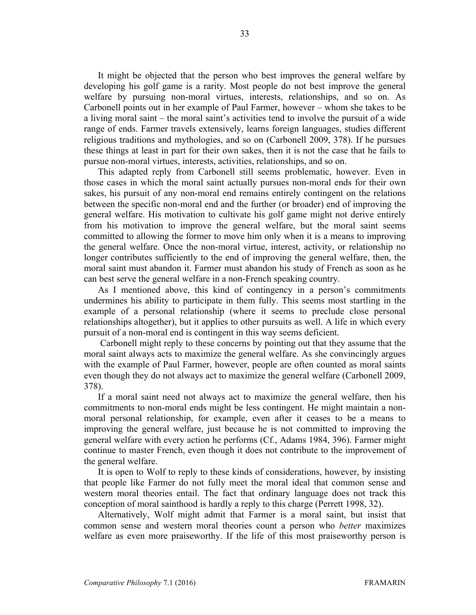It might be objected that the person who best improves the general welfare by developing his golf game is a rarity. Most people do not best improve the general welfare by pursuing non-moral virtues, interests, relationships, and so on. As Carbonell points out in her example of Paul Farmer, however – whom she takes to be a living moral saint – the moral saint's activities tend to involve the pursuit of a wide range of ends. Farmer travels extensively, learns foreign languages, studies different religious traditions and mythologies, and so on (Carbonell 2009, 378). If he pursues these things at least in part for their own sakes, then it is not the case that he fails to pursue non-moral virtues, interests, activities, relationships, and so on.

This adapted reply from Carbonell still seems problematic, however. Even in those cases in which the moral saint actually pursues non-moral ends for their own sakes, his pursuit of any non-moral end remains entirely contingent on the relations between the specific non-moral end and the further (or broader) end of improving the general welfare. His motivation to cultivate his golf game might not derive entirely from his motivation to improve the general welfare, but the moral saint seems committed to allowing the former to move him only when it is a means to improving the general welfare. Once the non-moral virtue, interest, activity, or relationship no longer contributes sufficiently to the end of improving the general welfare, then, the moral saint must abandon it. Farmer must abandon his study of French as soon as he can best serve the general welfare in a non-French speaking country.

As I mentioned above, this kind of contingency in a person's commitments undermines his ability to participate in them fully. This seems most startling in the example of a personal relationship (where it seems to preclude close personal relationships altogether), but it applies to other pursuits as well. A life in which every pursuit of a non-moral end is contingent in this way seems deficient.

Carbonell might reply to these concerns by pointing out that they assume that the moral saint always acts to maximize the general welfare. As she convincingly argues with the example of Paul Farmer, however, people are often counted as moral saints even though they do not always act to maximize the general welfare (Carbonell 2009, 378).

If a moral saint need not always act to maximize the general welfare, then his commitments to non-moral ends might be less contingent. He might maintain a nonmoral personal relationship, for example, even after it ceases to be a means to improving the general welfare, just because he is not committed to improving the general welfare with every action he performs (Cf., Adams 1984, 396). Farmer might continue to master French, even though it does not contribute to the improvement of the general welfare.

It is open to Wolf to reply to these kinds of considerations, however, by insisting that people like Farmer do not fully meet the moral ideal that common sense and western moral theories entail. The fact that ordinary language does not track this conception of moral sainthood is hardly a reply to this charge (Perrett 1998, 32).

Alternatively, Wolf might admit that Farmer is a moral saint, but insist that common sense and western moral theories count a person who *better* maximizes welfare as even more praiseworthy. If the life of this most praiseworthy person is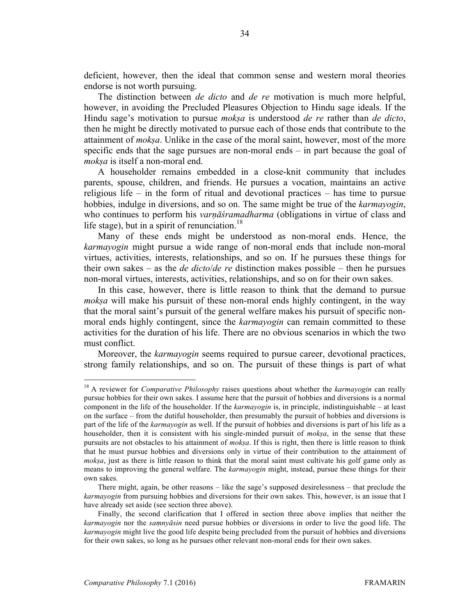deficient, however, then the ideal that common sense and western moral theories endorse is not worth pursuing.

The distinction between *de dicto* and *de re* motivation is much more helpful, however, in avoiding the Precluded Pleasures Objection to Hindu sage ideals. If the Hindu sage's motivation to pursue *mokṣa* is understood *de re* rather than *de dicto*, then he might be directly motivated to pursue each of those ends that contribute to the attainment of *mokṣa*. Unlike in the case of the moral saint, however, most of the more specific ends that the sage pursues are non-moral ends – in part because the goal of *mokṣa* is itself a non-moral end.

A householder remains embedded in a close-knit community that includes parents, spouse, children, and friends. He pursues a vocation, maintains an active religious life – in the form of ritual and devotional practices – has time to pursue hobbies, indulge in diversions, and so on. The same might be true of the *karmayogin*, who continues to perform his *varnāśramadharma* (obligations in virtue of class and life stage), but in a spirit of renunciation.<sup>18</sup>

Many of these ends might be understood as non-moral ends. Hence, the *karmayogin* might pursue a wide range of non-moral ends that include non-moral virtues, activities, interests, relationships, and so on. If he pursues these things for their own sakes – as the *de dicto*/*de re* distinction makes possible – then he pursues non-moral virtues, interests, activities, relationships, and so on for their own sakes.

In this case, however, there is little reason to think that the demand to pursue *moksa* will make his pursuit of these non-moral ends highly contingent, in the way that the moral saint's pursuit of the general welfare makes his pursuit of specific nonmoral ends highly contingent, since the *karmayogin* can remain committed to these activities for the duration of his life. There are no obvious scenarios in which the two must conflict.

Moreover, the *karmayogin* seems required to pursue career, devotional practices, strong family relationships, and so on. The pursuit of these things is part of what

 <sup>18</sup> A reviewer for *Comparative Philosophy* raises questions about whether the *karmayogin* can really pursue hobbies for their own sakes. I assume here that the pursuit of hobbies and diversions is a normal component in the life of the householder. If the *karmayogin* is, in principle, indistinguishable – at least on the surface – from the dutiful householder, then presumably the pursuit of hobbies and diversions is part of the life of the *karmayogin* as well. If the pursuit of hobbies and diversions is part of his life as a householder, then it is consistent with his single-minded pursuit of *mokṣa*, in the sense that these pursuits are not obstacles to his attainment of *mokṣa*. If this is right, then there is little reason to think that he must pursue hobbies and diversions only in virtue of their contribution to the attainment of *mok<sub>3</sub>a*, just as there is little reason to think that the moral saint must cultivate his golf game only as means to improving the general welfare. The *karmayogin* might, instead, pursue these things for their own sakes.

There might, again, be other reasons – like the sage's supposed desirelessness – that preclude the *karmayogin* from pursuing hobbies and diversions for their own sakes. This, however, is an issue that I have already set aside (see section three above).

Finally, the second clarification that I offered in section three above implies that neither the *karmayogin* nor the *saṃnyāsin* need pursue hobbies or diversions in order to live the good life. The *karmayogin* might live the good life despite being precluded from the pursuit of hobbies and diversions for their own sakes, so long as he pursues other relevant non-moral ends for their own sakes.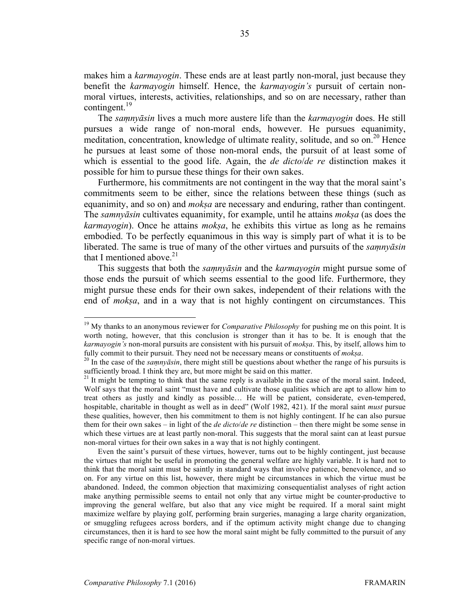makes him a *karmayogin*. These ends are at least partly non-moral, just because they benefit the *karmayogin* himself. Hence, the *karmayogin's* pursuit of certain nonmoral virtues, interests, activities, relationships, and so on are necessary, rather than contingent.<sup>19</sup>

The *saṃnyāsin* lives a much more austere life than the *karmayogin* does. He still pursues a wide range of non-moral ends, however. He pursues equanimity, meditation, concentration, knowledge of ultimate reality, solitude, and so on.<sup>20</sup> Hence he pursues at least some of those non-moral ends, the pursuit of at least some of which is essential to the good life. Again, the *de dicto*/*de re* distinction makes it possible for him to pursue these things for their own sakes.

Furthermore, his commitments are not contingent in the way that the moral saint's commitments seem to be either, since the relations between these things (such as equanimity, and so on) and *mokṣa* are necessary and enduring, rather than contingent. The *samnyāsin* cultivates equanimity, for example, until he attains *mokṣa* (as does the *karmayogin*). Once he attains *mokṣa*, he exhibits this virtue as long as he remains embodied. To be perfectly equanimous in this way is simply part of what it is to be liberated. The same is true of many of the other virtues and pursuits of the *saṃnyāsin* that I mentioned above.<sup>21</sup>

This suggests that both the *saṃnyāsin* and the *karmayogin* might pursue some of those ends the pursuit of which seems essential to the good life. Furthermore, they might pursue these ends for their own sakes, independent of their relations with the end of *mokṣa*, and in a way that is not highly contingent on circumstances. This

Even the saint's pursuit of these virtues, however, turns out to be highly contingent, just because the virtues that might be useful in promoting the general welfare are highly variable. It is hard not to think that the moral saint must be saintly in standard ways that involve patience, benevolence, and so on. For any virtue on this list, however, there might be circumstances in which the virtue must be abandoned. Indeed, the common objection that maximizing consequentialist analyses of right action make anything permissible seems to entail not only that any virtue might be counter-productive to improving the general welfare, but also that any vice might be required. If a moral saint might maximize welfare by playing golf, performing brain surgeries, managing a large charity organization, or smuggling refugees across borders, and if the optimum activity might change due to changing circumstances, then it is hard to see how the moral saint might be fully committed to the pursuit of any specific range of non-moral virtues.

<sup>&</sup>lt;sup>19</sup> My thanks to an anonymous reviewer for *Comparative Philosophy* for pushing me on this point. It is worth noting, however, that this conclusion is stronger than it has to be. It is enough that the *karmayogin's* non-moral pursuits are consistent with his pursuit of *mokṣa*. This, by itself, allows him to

fully commit to their pursuit. They need not be necessary means or constituents of *moksa*.<br><sup>20</sup> In the case of the *samnyāsin*, there might still be questions about whether the range of his pursuits is sufficiently broad. I think they are, but more might be said on this matter.

 $21$  It might be tempting to think that the same reply is available in the case of the moral saint. Indeed, Wolf says that the moral saint "must have and cultivate those qualities which are apt to allow him to treat others as justly and kindly as possible… He will be patient, considerate, even-tempered, hospitable, charitable in thought as well as in deed" (Wolf 1982, 421). If the moral saint *must* pursue these qualities, however, then his commitment to them is not highly contingent. If he can also pursue them for their own sakes – in light of the *de dicto*/*de re* distinction – then there might be some sense in which these virtues are at least partly non-moral. This suggests that the moral saint can at least pursue non-moral virtues for their own sakes in a way that is not highly contingent.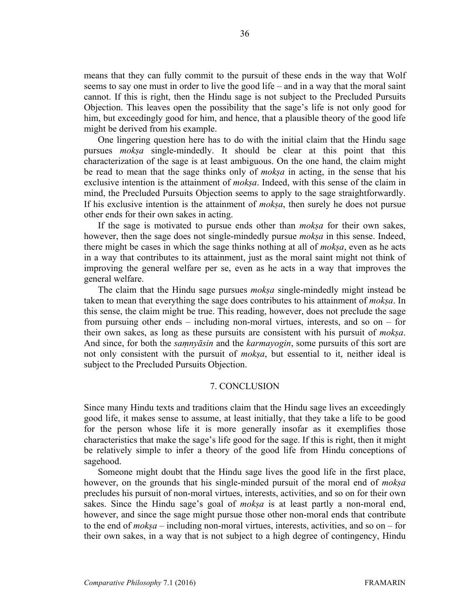means that they can fully commit to the pursuit of these ends in the way that Wolf seems to say one must in order to live the good life – and in a way that the moral saint cannot. If this is right, then the Hindu sage is not subject to the Precluded Pursuits Objection. This leaves open the possibility that the sage's life is not only good for him, but exceedingly good for him, and hence, that a plausible theory of the good life might be derived from his example.

One lingering question here has to do with the initial claim that the Hindu sage pursues *mokṣa* single-mindedly. It should be clear at this point that this characterization of the sage is at least ambiguous. On the one hand, the claim might be read to mean that the sage thinks only of *mokṣa* in acting, in the sense that his exclusive intention is the attainment of *mokṣa*. Indeed, with this sense of the claim in mind, the Precluded Pursuits Objection seems to apply to the sage straightforwardly. If his exclusive intention is the attainment of *mokṣa*, then surely he does not pursue other ends for their own sakes in acting.

If the sage is motivated to pursue ends other than *mokṣa* for their own sakes, however, then the sage does not single-mindedly pursue *mokṣa* in this sense. Indeed, there might be cases in which the sage thinks nothing at all of *mokṣa*, even as he acts in a way that contributes to its attainment, just as the moral saint might not think of improving the general welfare per se, even as he acts in a way that improves the general welfare.

The claim that the Hindu sage pursues *mokṣa* single-mindedly might instead be taken to mean that everything the sage does contributes to his attainment of *mokṣa*. In this sense, the claim might be true. This reading, however, does not preclude the sage from pursuing other ends – including non-moral virtues, interests, and so on – for their own sakes, as long as these pursuits are consistent with his pursuit of *mokṣa*. And since, for both the *saṃnyāsin* and the *karmayogin*, some pursuits of this sort are not only consistent with the pursuit of *mokṣa*, but essential to it, neither ideal is subject to the Precluded Pursuits Objection.

## 7. CONCLUSION

Since many Hindu texts and traditions claim that the Hindu sage lives an exceedingly good life, it makes sense to assume, at least initially, that they take a life to be good for the person whose life it is more generally insofar as it exemplifies those characteristics that make the sage's life good for the sage. If this is right, then it might be relatively simple to infer a theory of the good life from Hindu conceptions of sagehood.

Someone might doubt that the Hindu sage lives the good life in the first place, however, on the grounds that his single-minded pursuit of the moral end of *mokṣa* precludes his pursuit of non-moral virtues, interests, activities, and so on for their own sakes. Since the Hindu sage's goal of *mokṣa* is at least partly a non-moral end, however, and since the sage might pursue those other non-moral ends that contribute to the end of *mokṣa* – including non-moral virtues, interests, activities, and so on – for their own sakes, in a way that is not subject to a high degree of contingency, Hindu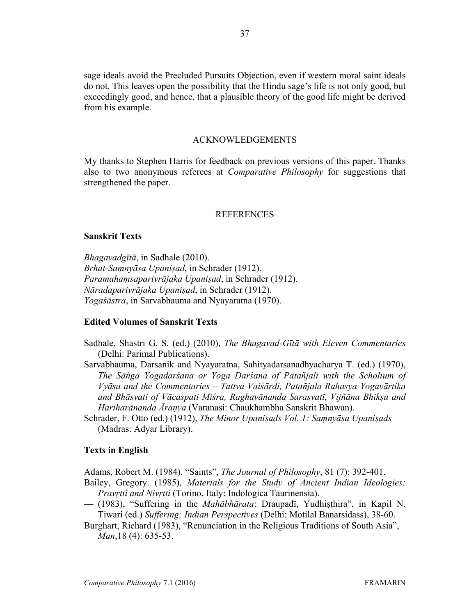sage ideals avoid the Precluded Pursuits Objection, even if western moral saint ideals do not. This leaves open the possibility that the Hindu sage's life is not only good, but exceedingly good, and hence, that a plausible theory of the good life might be derived from his example.

### ACKNOWLEDGEMENTS

My thanks to Stephen Harris for feedback on previous versions of this paper. Thanks also to two anonymous referees at *Comparative Philosophy* for suggestions that strengthened the paper.

### REFERENCES

### **Sanskrit Texts**

*Bhagavadgītā*, in Sadhale (2010). *Brhat-Saṃnyāsa Upaniṣad*, in Schrader (1912). *Paramahaṃsaparivrājaka Upaniṣad*, in Schrader (1912). *Nāradaparivrājaka Upaniṣad*, in Schrader (1912). *Yogaśāstra*, in Sarvabhauma and Nyayaratna (1970).

# **Edited Volumes of Sanskrit Texts**

- Sadhale, Shastri G. S. (ed.) (2010), *The Bhagavad-Gītā with Eleven Commentaries* (Delhi: Parimal Publications).
- Sarvabhauma, Darsanik and Nyayaratna, Sahityadarsanadhyacharya T. (ed.) (1970), *The Sāṅga Yogadarśana or Yoga Darśana of Patañjali with the Scholium of Vyāsa and the Commentaries – Tattva Vaiśārdi, Patañjala Rahasya Yogavārtika and Bhāsvati of Vācaspati Miśra, Raghavānanda Sarasvatī, Vijñāna Bhikṣu and Hariharānanda Āraṇya* (Varanasi: Chaukhambha Sanskrit Bhawan).
- Schrader, F. Otto (ed.) (1912), *The Minor Upaniṣads Vol. 1: Saṃnyāsa Upaniṣads* (Madras: Adyar Library).

#### **Texts in English**

Adams, Robert M. (1984), "Saints", *The Journal of Philosophy*, 81 (7): 392-401.

- Bailey, Gregory. (1985), *Materials for the Study of Ancient Indian Ideologies: Pravṛtti and Nivṛtti* (Torino, Italy: Indologica Taurinensia).
- (1983), "Suffering in the *Mahābhārata*: Draupadī, Yudhiṣṭhira", in Kapil N. Tiwari (ed.) *Suffering: Indian Perspectives* (Delhi: Motilal Banarsidass), 38-60.
- Burghart, Richard (1983), "Renunciation in the Religious Traditions of South Asia", *Man*,18 (4): 635-53.